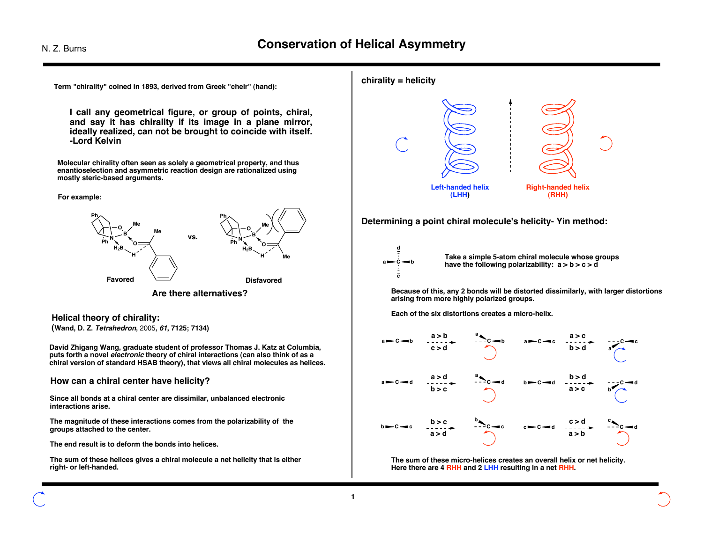

**I call any geometrical figure, or group of points, chiral, and say it has chirality if its image in a plane mirror, ideally realized, can not be brought to coincide with itself. -Lord Kelvin**

**Molecular chirality often seen as solely a geometrical property, and thus enantioselection and asymmetric reaction design are rationalized using mostly steric-based arguments.**

### **For example:**



**Helical theory of chirality: (Wand, D. Z. Tetrahedron,** 2005**, <sup>61</sup>, 7125; 7134)**

**David Zhigang Wang, graduate student of professor Thomas J. Katz at Columbia, puts forth a novel electronic theory of chiral interactions (can also think of as a chiral version of standard HSAB theory), that views all chiral molecules as helices.**

## **How can a chiral center have helicity?**

**Since all bonds at a chiral center are dissimilar, unbalanced electronic interactions arise.**

**The magnitude of these interactions comes from the polarizability of the groups attached to the center.**

**The end result is to deform the bonds into helices.**

**The sum of these helices gives a chiral molecule a net helicity that is either right- or left-handed.**



**Determining a point chiral molecule's helicity- Yin method:**



**Take a simple 5-atom chiral molecule whose groups have the following polarizability: a > b > c > d**

**Because of this, any 2 bonds will be distorted dissimilarly, with larger distortions arising from more highly polarized groups.**

**Each of the six distortions creates a micro-helix.**



**The sum of these micro-helices creates an overall helix or net helicity. Here there are 4 RHH and 2 LHH resulting in a net RHH.**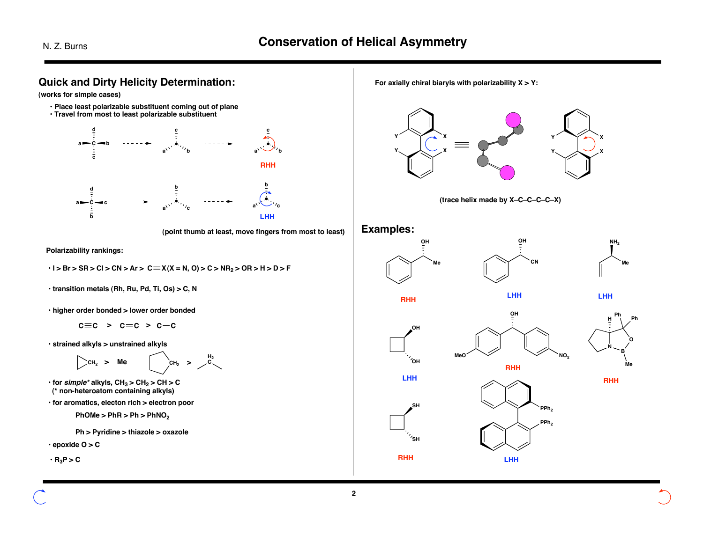**2**



**For axially chiral biaryls with polarizability X > Y:**









**LHH**



**OH**











**LHH**



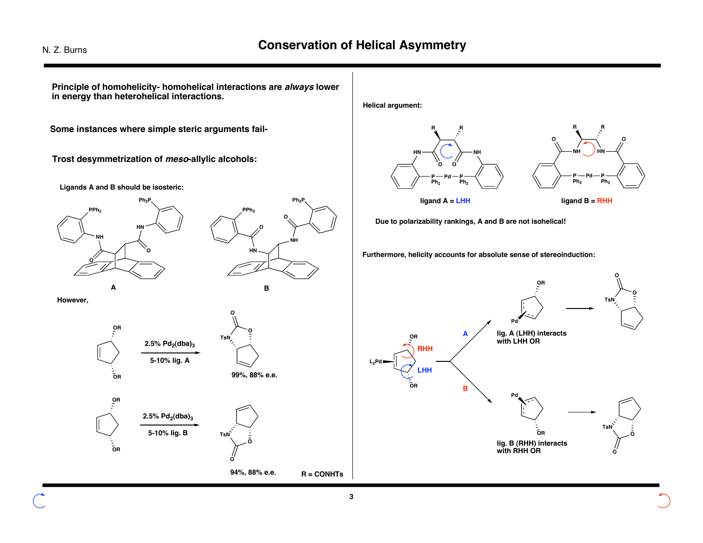**O O O O Some instances where simple steric arguments fail-Principle of homohelicity- homohelical interactions are always lower in energy than heterohelical interactions. HN NH O O PPh2** Ph<sub>2</sub>F **HN NH PPh2 Ph2P O O OR OR R = CONHTs O TsN O O TsN O OR OR**  $2.5\%$   $Pd_2$ (dba)<sub>3</sub> **5-10% lig. A**  $2.5\%$   $Pd_2$ (dba)<sub>3</sub> **5-10% lig. B A B 99%, 88% e.e. 94%, 88% e.e. Ligands A and B should be isosteric: However, Helical argument: HN NH P Pd P R R Ph<sub>2</sub> NH HN P Pd P R R Ph2 Ph2 ligand A = LHH ligand B = RHH Due to polarizability rankings, A and B are not isohelical! Furthermore, helicity accounts for absolute sense of stereoinduction: OR OR Pd Pd OR OR L2Pd RHH LHH lig. A (LHH) interacts with LHH OR lig. B (RHH) interacts with RHH OR O TsN O O TsN O A B Trost desymmetrization of meso-allylic alcohols:**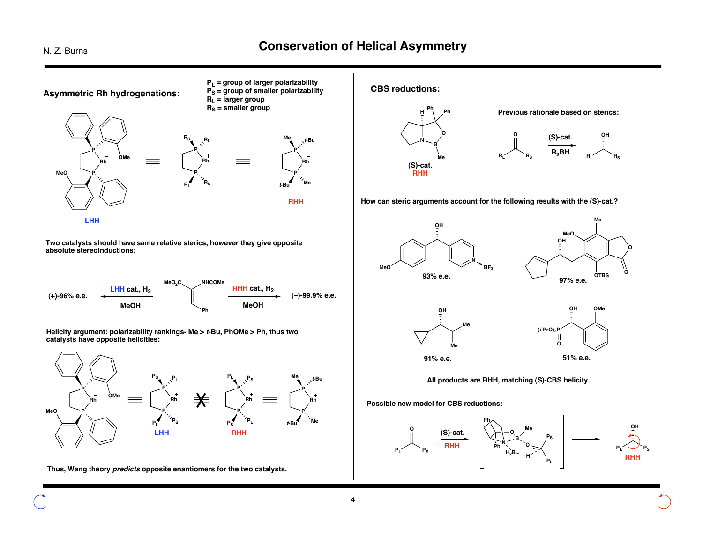# N. Z. Burns **Conservation of Helical Asymmetry**



**Two catalysts should have same relative sterics, however they give opposite absolute stereoinductions:**



**Helicity argument: polarizability rankings- Me > <sup>t</sup>-Bu, PhOMe > Ph, thus two catalysts have opposite helicities:**



**Thus, Wang theory predicts opposite enantiomers for the two catalysts.**

**CBS reductions:**



**How can steric arguments account for the following results with the (S)-cat.?**



**All products are RHH, matching (S)-CBS helicity.**

**Possible new model for CBS reductions:**

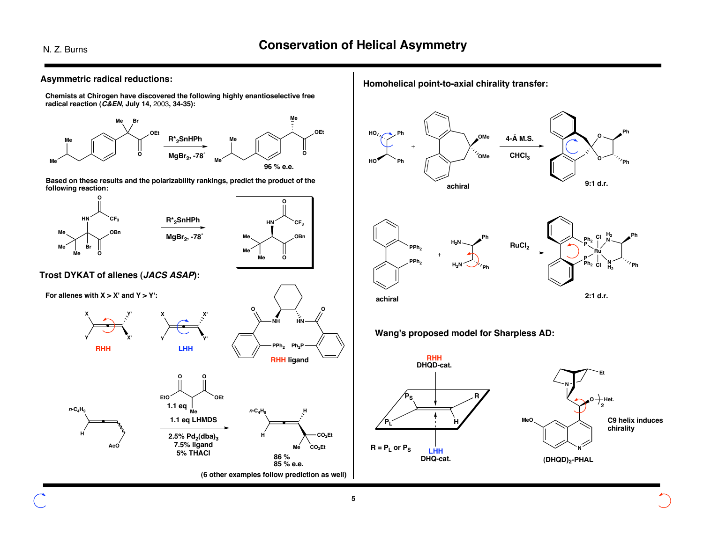

**Chemists at Chirogen have discovered the following highly enantioselective free radical reaction (C&EN, July 14,** 2003**, 34-35):**



**Based on these results and the polarizability rankings, predict the product of the following reaction:**





**Trost DYKAT of allenes (JACS ASAP):**



**H**

**<sup>n</sup>-C4H9**



**H**  $n$ **-C<sub>4</sub>H<sub>9</sub> CO2Et**  $\mathsf{A}\mathsf{c}\mathsf{o}'$  **Me**  $\mathsf{c}\mathsf{o}_2$  **CO**<sub>2</sub>Et **1.1 eq LHMDS**  $2.5\%$   $Pd_2$ (dba)<sub>3</sub> **5% THACl EtO Me O OEt 1.1 eq 86 % 85 % e.e. (6 other examples follow prediction as well)** **Homohelical point-to-axial chirality transfer:**







**Wang's proposed model for Sharpless AD:**



**5**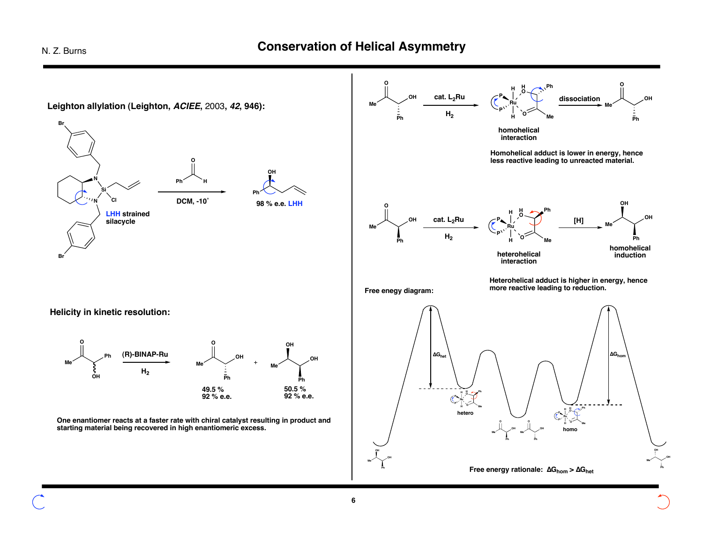